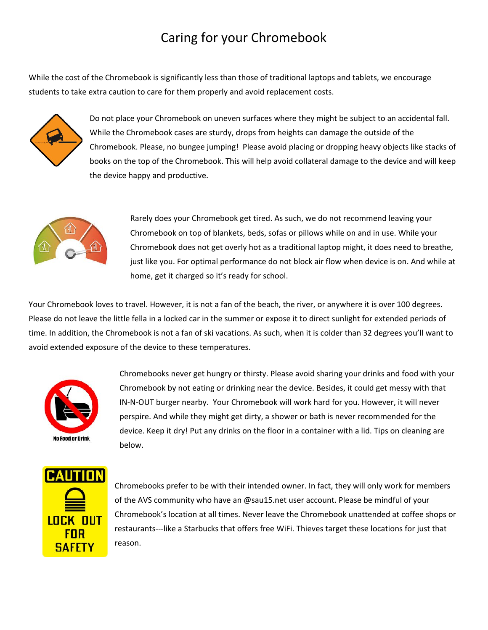## Caring for your Chromebook

While the cost of the Chromebook is significantly less than those of traditional laptops and tablets, we encourage students to take extra caution to care for them properly and avoid replacement costs.



Do not place your Chromebook on uneven surfaces where they might be subject to an accidental fall. While the Chromebook cases are sturdy, drops from heights can damage the outside of the Chromebook. Please, no bungee jumping! Please avoid placing or dropping heavy objects like stacks of books on the top of the Chromebook. This will help avoid collateral damage to the device and will keep the device happy and productive.



Rarely does your Chromebook get tired. As such, we do not recommend leaving your Chromebook on top of blankets, beds, sofas or pillows while on and in use. While your Chromebook does not get overly hot as a traditional laptop might, it does need to breathe, just like you. For optimal performance do not block air flow when device is on. And while at home, get it charged so it's ready for school.

Your Chromebook loves to travel. However, it is not a fan of the beach, the river, or anywhere it is over 100 degrees. Please do not leave the little fella in a locked car in the summer or expose it to direct sunlight for extended periods of time. In addition, the Chromebook is not a fan of ski vacations. As such, when it is colder than 32 degrees you'll want to avoid extended exposure of the device to these temperatures.



Chromebooks never get hungry or thirsty. Please avoid sharing your drinks and food with your Chromebook by not eating or drinking near the device. Besides, it could get messy with that IN-N-OUT burger nearby. Your Chromebook will work hard for you. However, it will never perspire. And while they might get dirty, a shower or bath is never recommended for the device. Keep it dry! Put any drinks on the floor in a container with a lid. Tips on cleaning are below.



Chromebooks prefer to be with their intended owner. In fact, they will only work for members of the AVS community who have an @sau15.net user account. Please be mindful of your Chromebook's location at all times. Never leave the Chromebook unattended at coffee shops or restaurants---like a Starbucks that offers free WiFi. Thieves target these locations for just that reason.